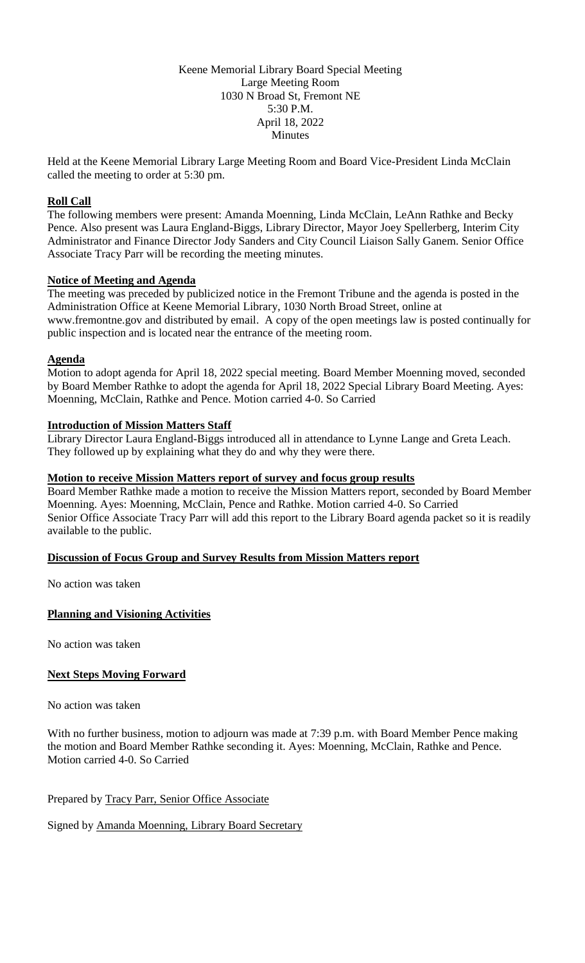Keene Memorial Library Board Special Meeting Large Meeting Room 1030 N Broad St, Fremont NE 5:30 P.M. April 18, 2022 **Minutes** 

Held at the Keene Memorial Library Large Meeting Room and Board Vice-President Linda McClain called the meeting to order at 5:30 pm.

### **Roll Call**

The following members were present: Amanda Moenning, Linda McClain, LeAnn Rathke and Becky Pence. Also present was Laura England-Biggs, Library Director, Mayor Joey Spellerberg, Interim City Administrator and Finance Director Jody Sanders and City Council Liaison Sally Ganem. Senior Office Associate Tracy Parr will be recording the meeting minutes.

#### **Notice of Meeting and Agenda**

The meeting was preceded by publicized notice in the Fremont Tribune and the agenda is posted in the Administration Office at Keene Memorial Library, 1030 North Broad Street, online at www.fremontne.gov and distributed by email. A copy of the open meetings law is posted continually for public inspection and is located near the entrance of the meeting room.

### **Agenda**

Motion to adopt agenda for April 18, 2022 special meeting. Board Member Moenning moved, seconded by Board Member Rathke to adopt the agenda for April 18, 2022 Special Library Board Meeting. Ayes: Moenning, McClain, Rathke and Pence. Motion carried 4-0. So Carried

### **Introduction of Mission Matters Staff**

Library Director Laura England-Biggs introduced all in attendance to Lynne Lange and Greta Leach. They followed up by explaining what they do and why they were there.

### **Motion to receive Mission Matters report of survey and focus group results**

Board Member Rathke made a motion to receive the Mission Matters report, seconded by Board Member Moenning. Ayes: Moenning, McClain, Pence and Rathke. Motion carried 4-0. So Carried Senior Office Associate Tracy Parr will add this report to the Library Board agenda packet so it is readily available to the public.

## **Discussion of Focus Group and Survey Results from Mission Matters report**

No action was taken

## **Planning and Visioning Activities**

No action was taken

# **Next Steps Moving Forward**

No action was taken

With no further business, motion to adjourn was made at 7:39 p.m. with Board Member Pence making the motion and Board Member Rathke seconding it. Ayes: Moenning, McClain, Rathke and Pence. Motion carried 4-0. So Carried

Prepared by Tracy Parr, Senior Office Associate

Signed by Amanda Moenning, Library Board Secretary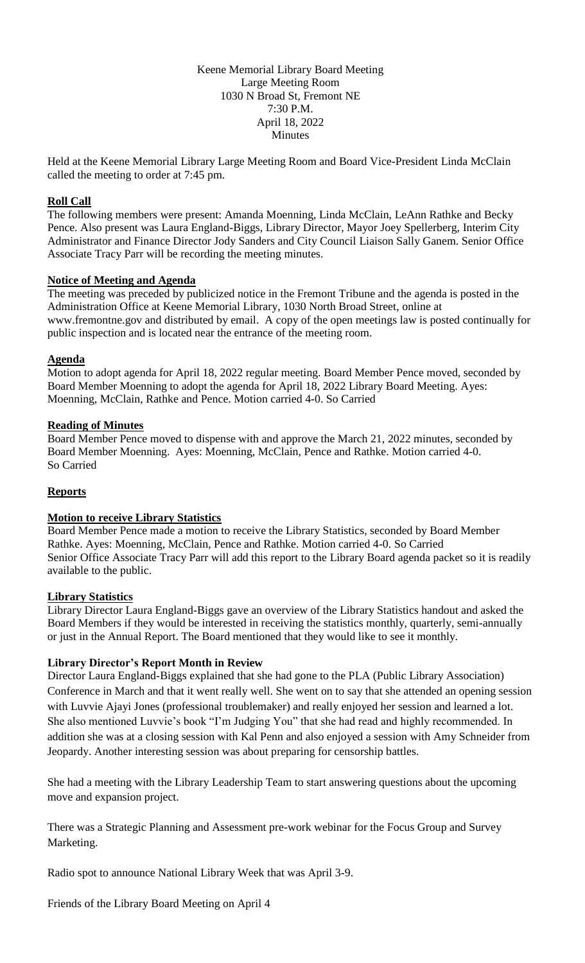Keene Memorial Library Board Meeting Large Meeting Room 1030 N Broad St, Fremont NE 7:30 P.M. April 18, 2022 Minutes

Held at the Keene Memorial Library Large Meeting Room and Board Vice-President Linda McClain called the meeting to order at 7:45 pm.

### **Roll Call**

The following members were present: Amanda Moenning, Linda McClain, LeAnn Rathke and Becky Pence. Also present was Laura England-Biggs, Library Director, Mayor Joey Spellerberg, Interim City Administrator and Finance Director Jody Sanders and City Council Liaison Sally Ganem. Senior Office Associate Tracy Parr will be recording the meeting minutes.

#### **Notice of Meeting and Agenda**

The meeting was preceded by publicized notice in the Fremont Tribune and the agenda is posted in the Administration Office at Keene Memorial Library, 1030 North Broad Street, online at www.fremontne.gov and distributed by email. A copy of the open meetings law is posted continually for public inspection and is located near the entrance of the meeting room.

### **Agenda**

Motion to adopt agenda for April 18, 2022 regular meeting. Board Member Pence moved, seconded by Board Member Moenning to adopt the agenda for April 18, 2022 Library Board Meeting. Ayes: Moenning, McClain, Rathke and Pence. Motion carried 4-0. So Carried

### **Reading of Minutes**

Board Member Pence moved to dispense with and approve the March 21, 2022 minutes, seconded by Board Member Moenning. Ayes: Moenning, McClain, Pence and Rathke. Motion carried 4-0. So Carried

## **Reports**

## **Motion to receive Library Statistics**

Board Member Pence made a motion to receive the Library Statistics, seconded by Board Member Rathke. Ayes: Moenning, McClain, Pence and Rathke. Motion carried 4-0. So Carried Senior Office Associate Tracy Parr will add this report to the Library Board agenda packet so it is readily available to the public.

#### **Library Statistics**

Library Director Laura England-Biggs gave an overview of the Library Statistics handout and asked the Board Members if they would be interested in receiving the statistics monthly, quarterly, semi-annually or just in the Annual Report. The Board mentioned that they would like to see it monthly.

## **Library Director's Report Month in Review**

Director Laura England-Biggs explained that she had gone to the PLA (Public Library Association) Conference in March and that it went really well. She went on to say that she attended an opening session with Luvvie Ajayi Jones (professional troublemaker) and really enjoyed her session and learned a lot. She also mentioned Luvvie's book "I'm Judging You" that she had read and highly recommended. In addition she was at a closing session with Kal Penn and also enjoyed a session with Amy Schneider from Jeopardy. Another interesting session was about preparing for censorship battles.

She had a meeting with the Library Leadership Team to start answering questions about the upcoming move and expansion project.

There was a Strategic Planning and Assessment pre-work webinar for the Focus Group and Survey Marketing.

Radio spot to announce National Library Week that was April 3-9.

Friends of the Library Board Meeting on April 4